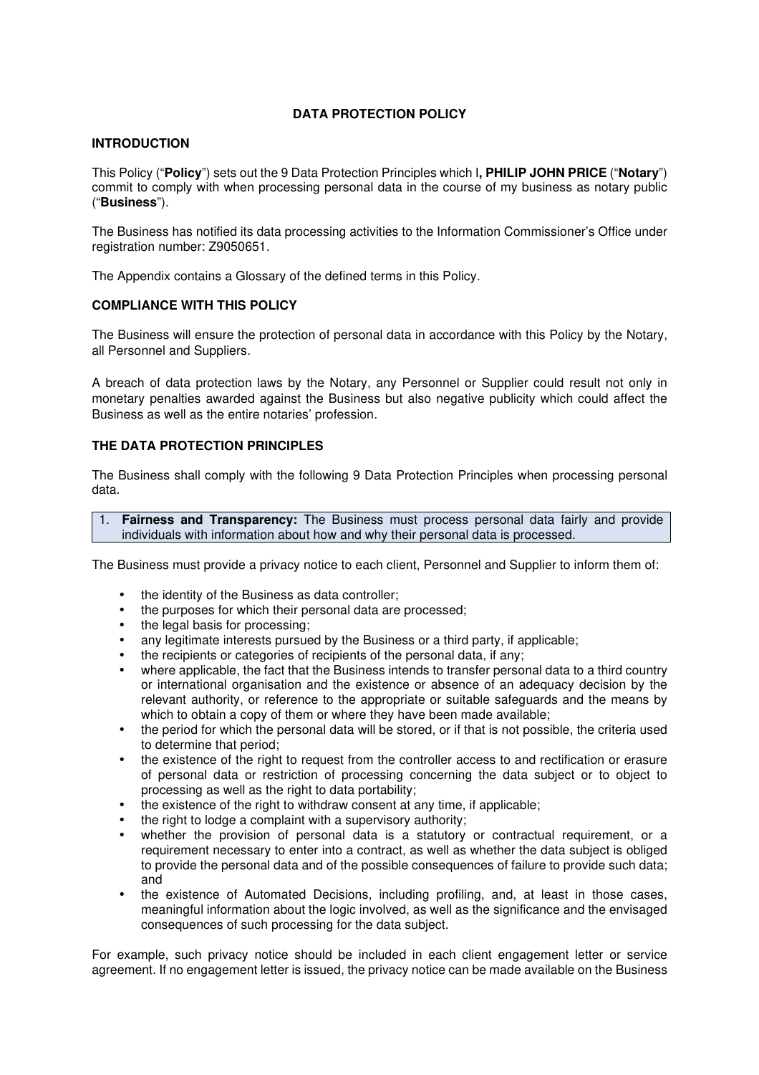# **DATA PROTECTION POLICY**

### **INTRODUCTION**

This Policy ("**Policy**") sets out the 9 Data Protection Principles which I**, PHILIP JOHN PRICE** ("**Notary**") commit to comply with when processing personal data in the course of my business as notary public ("**Business**").

The Business has notified its data processing activities to the Information Commissioner's Office under registration number: Z9050651.

The Appendix contains a Glossary of the defined terms in this Policy.

### **COMPLIANCE WITH THIS POLICY**

The Business will ensure the protection of personal data in accordance with this Policy by the Notary, all Personnel and Suppliers.

A breach of data protection laws by the Notary, any Personnel or Supplier could result not only in monetary penalties awarded against the Business but also negative publicity which could affect the Business as well as the entire notaries' profession.

### **THE DATA PROTECTION PRINCIPLES**

The Business shall comply with the following 9 Data Protection Principles when processing personal data.

1. **Fairness and Transparency:** The Business must process personal data fairly and provide individuals with information about how and why their personal data is processed.

The Business must provide a privacy notice to each client, Personnel and Supplier to inform them of:

- the identity of the Business as data controller;
- the purposes for which their personal data are processed;
- the legal basis for processing:
- any legitimate interests pursued by the Business or a third party, if applicable;
- the recipients or categories of recipients of the personal data, if any;
- where applicable, the fact that the Business intends to transfer personal data to a third country or international organisation and the existence or absence of an adequacy decision by the relevant authority, or reference to the appropriate or suitable safeguards and the means by which to obtain a copy of them or where they have been made available;
- the period for which the personal data will be stored, or if that is not possible, the criteria used to determine that period;
- the existence of the right to request from the controller access to and rectification or erasure of personal data or restriction of processing concerning the data subject or to object to processing as well as the right to data portability;
- the existence of the right to withdraw consent at any time, if applicable:
- the right to lodge a complaint with a supervisory authority;
- whether the provision of personal data is a statutory or contractual requirement, or a requirement necessary to enter into a contract, as well as whether the data subject is obliged to provide the personal data and of the possible consequences of failure to provide such data; and
- the existence of Automated Decisions, including profiling, and, at least in those cases, meaningful information about the logic involved, as well as the significance and the envisaged consequences of such processing for the data subject.

For example, such privacy notice should be included in each client engagement letter or service agreement. If no engagement letter is issued, the privacy notice can be made available on the Business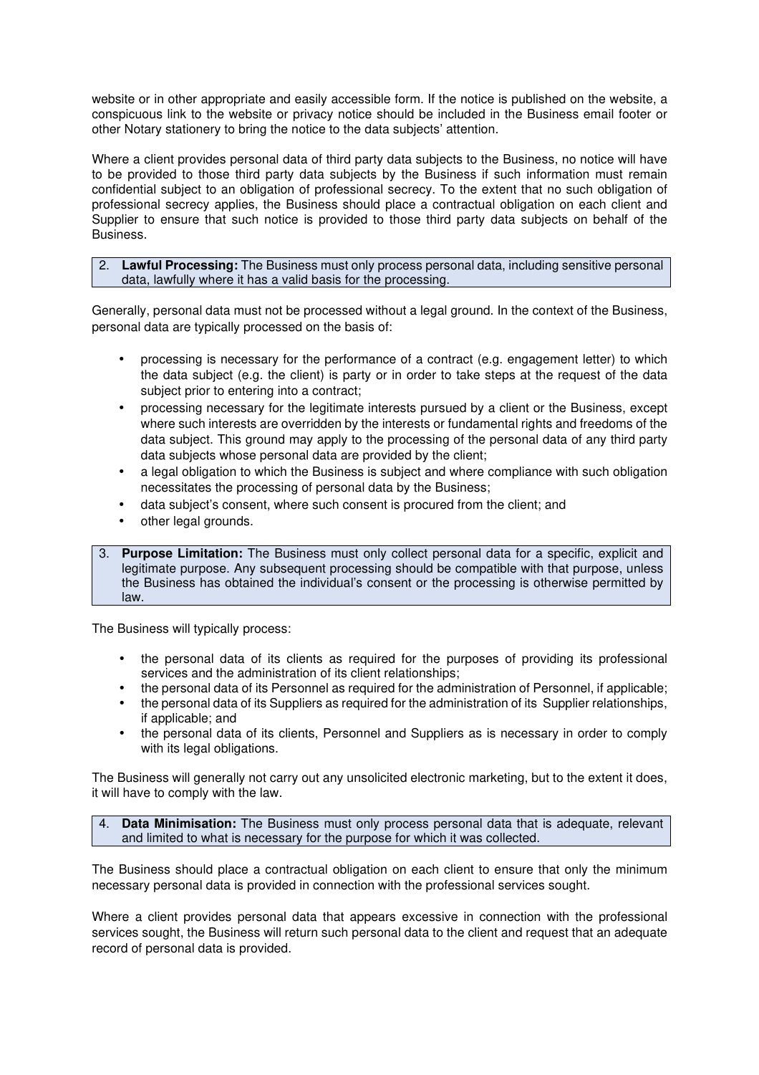website or in other appropriate and easily accessible form. If the notice is published on the website, a conspicuous link to the website or privacy notice should be included in the Business email footer or other Notary stationery to bring the notice to the data subjects' attention.

Where a client provides personal data of third party data subjects to the Business, no notice will have to be provided to those third party data subjects by the Business if such information must remain confidential subject to an obligation of professional secrecy. To the extent that no such obligation of professional secrecy applies, the Business should place a contractual obligation on each client and Supplier to ensure that such notice is provided to those third party data subjects on behalf of the Business.

### 2. **Lawful Processing:** The Business must only process personal data, including sensitive personal data, lawfully where it has a valid basis for the processing.

Generally, personal data must not be processed without a legal ground. In the context of the Business, personal data are typically processed on the basis of:

- processing is necessary for the performance of a contract (e.g. engagement letter) to which the data subject (e.g. the client) is party or in order to take steps at the request of the data subject prior to entering into a contract;
- processing necessary for the legitimate interests pursued by a client or the Business, except where such interests are overridden by the interests or fundamental rights and freedoms of the data subject. This ground may apply to the processing of the personal data of any third party data subjects whose personal data are provided by the client;
- a legal obligation to which the Business is subject and where compliance with such obligation necessitates the processing of personal data by the Business;
- data subject's consent, where such consent is procured from the client; and
- other legal grounds.
- 3. **Purpose Limitation:** The Business must only collect personal data for a specific, explicit and legitimate purpose. Any subsequent processing should be compatible with that purpose, unless the Business has obtained the individual's consent or the processing is otherwise permitted by law.

The Business will typically process:

- the personal data of its clients as required for the purposes of providing its professional services and the administration of its client relationships;
- the personal data of its Personnel as required for the administration of Personnel, if applicable;
- the personal data of its Suppliers as required for the administration of its Supplier relationships, if applicable; and
- the personal data of its clients, Personnel and Suppliers as is necessary in order to comply with its legal obligations.

The Business will generally not carry out any unsolicited electronic marketing, but to the extent it does, it will have to comply with the law.

4. **Data Minimisation:** The Business must only process personal data that is adequate, relevant and limited to what is necessary for the purpose for which it was collected.

The Business should place a contractual obligation on each client to ensure that only the minimum necessary personal data is provided in connection with the professional services sought.

Where a client provides personal data that appears excessive in connection with the professional services sought, the Business will return such personal data to the client and request that an adequate record of personal data is provided.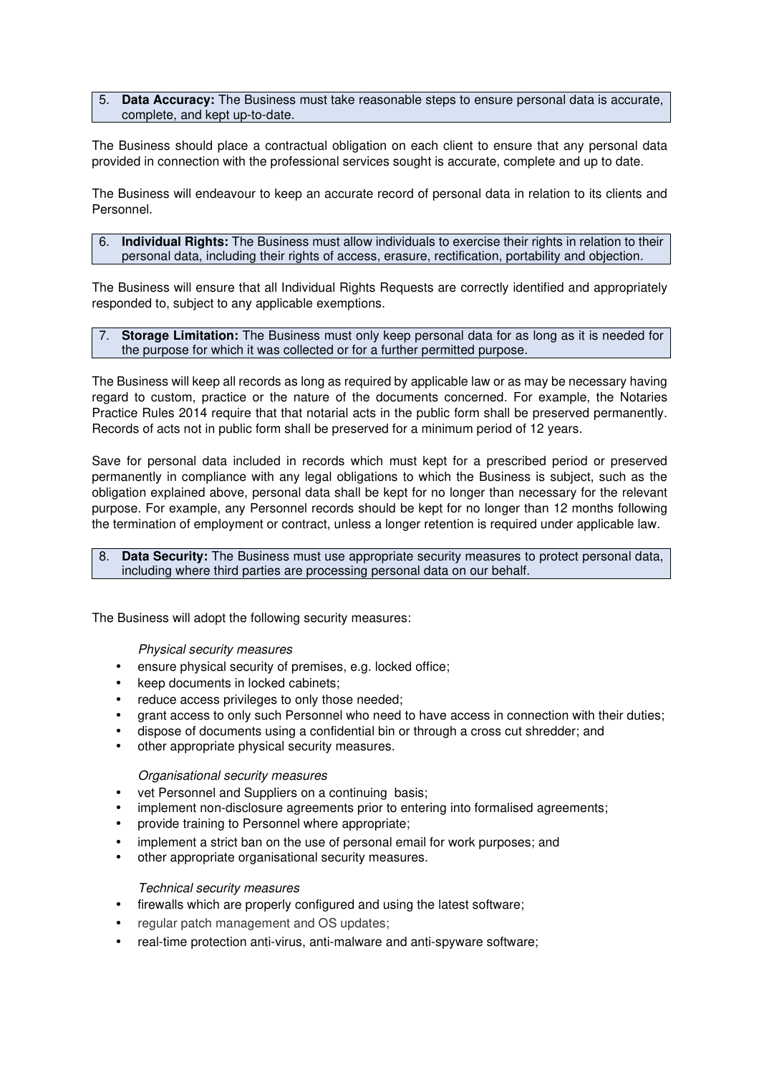#### 5. **Data Accuracy:** The Business must take reasonable steps to ensure personal data is accurate, complete, and kept up-to-date.

The Business should place a contractual obligation on each client to ensure that any personal data provided in connection with the professional services sought is accurate, complete and up to date.

The Business will endeavour to keep an accurate record of personal data in relation to its clients and Personnel.

#### 6. **Individual Rights:** The Business must allow individuals to exercise their rights in relation to their personal data, including their rights of access, erasure, rectification, portability and objection.

The Business will ensure that all Individual Rights Requests are correctly identified and appropriately responded to, subject to any applicable exemptions.

### 7. **Storage Limitation:** The Business must only keep personal data for as long as it is needed for the purpose for which it was collected or for a further permitted purpose.

The Business will keep all records as long as required by applicable law or as may be necessary having regard to custom, practice or the nature of the documents concerned. For example, the Notaries Practice Rules 2014 require that that notarial acts in the public form shall be preserved permanently. Records of acts not in public form shall be preserved for a minimum period of 12 years.

Save for personal data included in records which must kept for a prescribed period or preserved permanently in compliance with any legal obligations to which the Business is subject, such as the obligation explained above, personal data shall be kept for no longer than necessary for the relevant purpose. For example, any Personnel records should be kept for no longer than 12 months following the termination of employment or contract, unless a longer retention is required under applicable law.

#### 8. **Data Security:** The Business must use appropriate security measures to protect personal data, including where third parties are processing personal data on our behalf.

The Business will adopt the following security measures:

Physical security measures

- ensure physical security of premises, e.g. locked office;
- keep documents in locked cabinets:
- reduce access privileges to only those needed;
- grant access to only such Personnel who need to have access in connection with their duties;
- dispose of documents using a confidential bin or through a cross cut shredder; and
- other appropriate physical security measures.

#### Organisational security measures

- vet Personnel and Suppliers on a continuing basis;
- implement non-disclosure agreements prior to entering into formalised agreements;
- provide training to Personnel where appropriate;
- implement a strict ban on the use of personal email for work purposes; and
- other appropriate organisational security measures.

#### Technical security measures

- firewalls which are properly configured and using the latest software;
- regular patch management and OS updates;
- real-time protection anti-virus, anti-malware and anti-spyware software;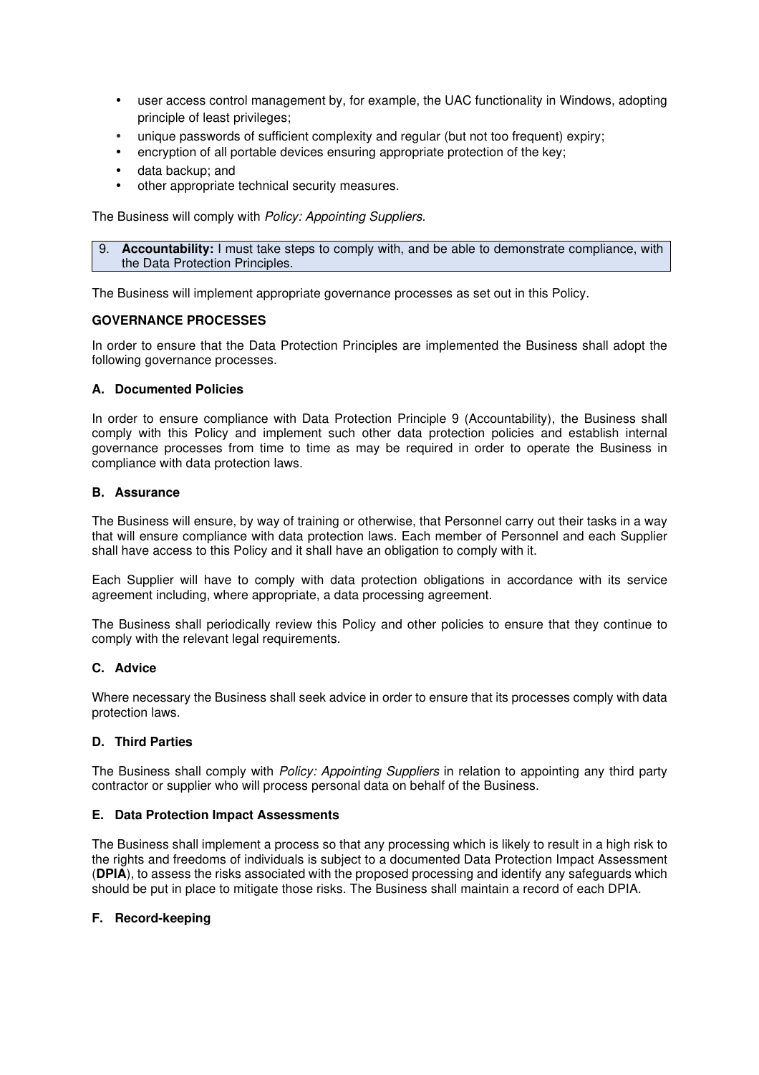- user access control management by, for example, the UAC functionality in Windows, adopting principle of least privileges;
- unique passwords of sufficient complexity and regular (but not too frequent) expiry;
- encryption of all portable devices ensuring appropriate protection of the key:
- data backup; and
- other appropriate technical security measures.

The Business will comply with Policy: Appointing Suppliers.

9. **Accountability:** I must take steps to comply with, and be able to demonstrate compliance, with the Data Protection Principles.

The Business will implement appropriate governance processes as set out in this Policy.

# **GOVERNANCE PROCESSES**

In order to ensure that the Data Protection Principles are implemented the Business shall adopt the following governance processes.

# **A. Documented Policies**

In order to ensure compliance with Data Protection Principle 9 (Accountability), the Business shall comply with this Policy and implement such other data protection policies and establish internal governance processes from time to time as may be required in order to operate the Business in compliance with data protection laws.

# **B. Assurance**

The Business will ensure, by way of training or otherwise, that Personnel carry out their tasks in a way that will ensure compliance with data protection laws. Each member of Personnel and each Supplier shall have access to this Policy and it shall have an obligation to comply with it.

Each Supplier will have to comply with data protection obligations in accordance with its service agreement including, where appropriate, a data processing agreement.

The Business shall periodically review this Policy and other policies to ensure that they continue to comply with the relevant legal requirements.

# **C. Advice**

Where necessary the Business shall seek advice in order to ensure that its processes comply with data protection laws.

# **D. Third Parties**

The Business shall comply with *Policy: Appointing Suppliers* in relation to appointing any third party contractor or supplier who will process personal data on behalf of the Business.

# **E. Data Protection Impact Assessments**

The Business shall implement a process so that any processing which is likely to result in a high risk to the rights and freedoms of individuals is subject to a documented Data Protection Impact Assessment (**DPIA**), to assess the risks associated with the proposed processing and identify any safeguards which should be put in place to mitigate those risks. The Business shall maintain a record of each DPIA.

#### **F. Record-keeping**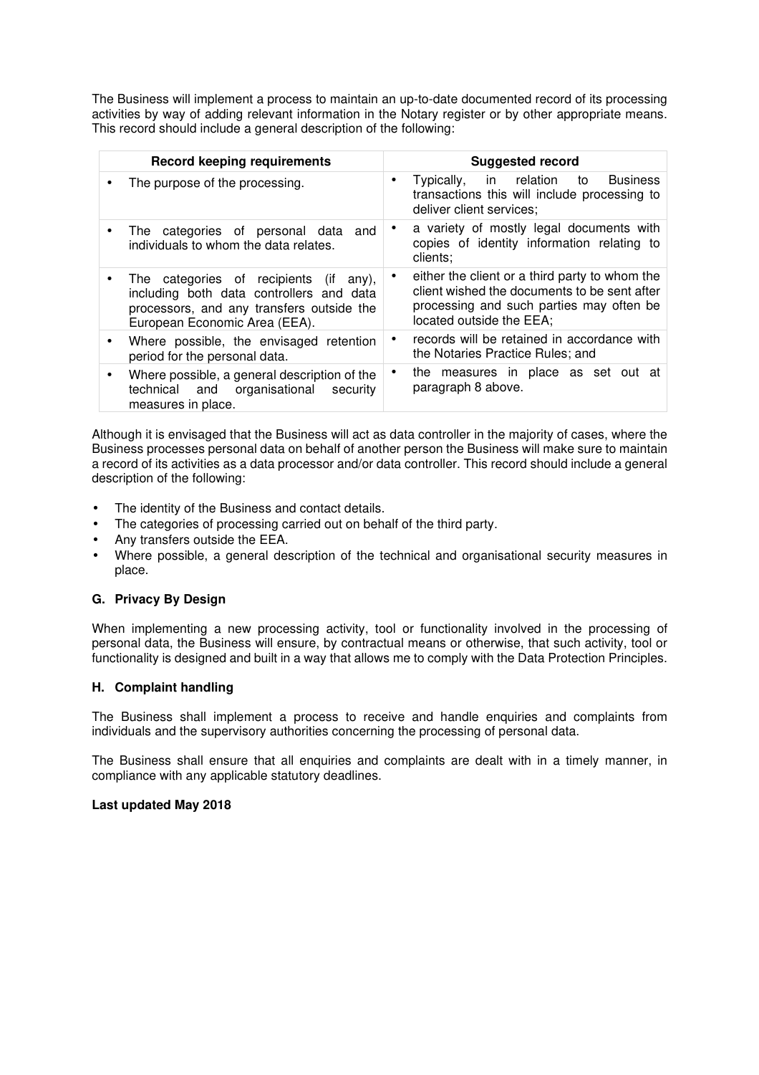The Business will implement a process to maintain an up-to-date documented record of its processing activities by way of adding relevant information in the Notary register or by other appropriate means. This record should include a general description of the following:

| <b>Record keeping requirements</b>                                                                                                                                  |           | <b>Suggested record</b>                                                                                                                                                |
|---------------------------------------------------------------------------------------------------------------------------------------------------------------------|-----------|------------------------------------------------------------------------------------------------------------------------------------------------------------------------|
| The purpose of the processing.                                                                                                                                      | $\bullet$ | in relation<br><b>Business</b><br>Typically,<br>to to<br>transactions this will include processing to<br>deliver client services;                                      |
| The categories of personal data and<br>individuals to whom the data relates.                                                                                        | ٠         | a variety of mostly legal documents with<br>copies of identity information relating to<br>clients;                                                                     |
| The categories of recipients (if<br>any).<br>including both data controllers and data<br>processors, and any transfers outside the<br>European Economic Area (EEA). | ٠         | either the client or a third party to whom the<br>client wished the documents to be sent after<br>processing and such parties may often be<br>located outside the EEA; |
| Where possible, the envisaged retention<br>period for the personal data.                                                                                            |           | records will be retained in accordance with<br>the Notaries Practice Rules; and                                                                                        |
| Where possible, a general description of the<br>technical and organisational<br>security<br>measures in place.                                                      | ٠         | the measures in place as set out at<br>paragraph 8 above.                                                                                                              |

Although it is envisaged that the Business will act as data controller in the majority of cases, where the Business processes personal data on behalf of another person the Business will make sure to maintain a record of its activities as a data processor and/or data controller. This record should include a general description of the following:

- The identity of the Business and contact details.
- The categories of processing carried out on behalf of the third party.
- Any transfers outside the EEA.
- Where possible, a general description of the technical and organisational security measures in place.

# **G. Privacy By Design**

When implementing a new processing activity, tool or functionality involved in the processing of personal data, the Business will ensure, by contractual means or otherwise, that such activity, tool or functionality is designed and built in a way that allows me to comply with the Data Protection Principles.

# **H. Complaint handling**

The Business shall implement a process to receive and handle enquiries and complaints from individuals and the supervisory authorities concerning the processing of personal data.

The Business shall ensure that all enquiries and complaints are dealt with in a timely manner, in compliance with any applicable statutory deadlines.

#### **Last updated May 2018**